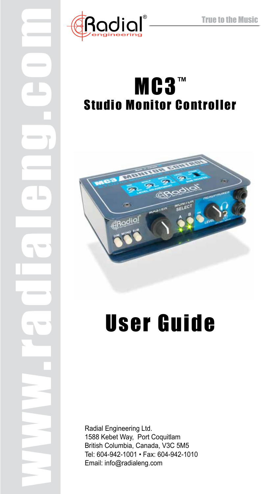

www.radialeng.com

## MC3™ Studio Monitor Controller



# User Guide

Radial Engineering Ltd. 1588 Kebet Way, Port Coquitlam British Columbia, Canada, V3C 5M5 Tel: 604-942-1001 • Fax: 604-942-1010 Email: info@radialeng.com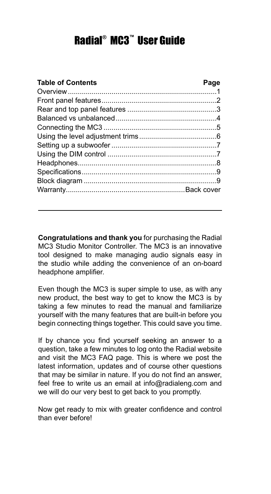### Radial® MC3™ User Guide

| <b>Table of Contents</b> | Page |
|--------------------------|------|
|                          |      |
|                          |      |
|                          |      |
|                          |      |
|                          |      |
|                          |      |
|                          |      |
|                          |      |
|                          |      |
|                          |      |
|                          |      |
|                          |      |

**Congratulations and thank you** for purchasing the Radial MC3 Studio Monitor Controller. The MC3 is an innovative tool designed to make managing audio signals easy in the studio while adding the convenience of an on-board headphone amplifier.

Even though the MC3 is super simple to use, as with any new product, the best way to get to know the MC3 is by taking a few minutes to read the manual and familiarize yourself with the many features that are built-in before you begin connecting things together. This could save you time.

If by chance you find yourself seeking an answer to a question, take a few minutes to log onto the Radial website and visit the MC3 FAQ page. This is where we post the latest information, updates and of course other questions that may be similar in nature. If you do not find an answer, feel free to write us an email at info@radialeng.com and we will do our very best to get back to you promptly.

Now get ready to mix with greater confidence and control than ever before!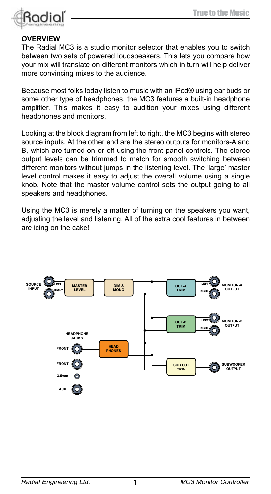

#### **Overview**

The Radial MC3 is a studio monitor selector that enables you to switch between two sets of powered loudspeakers. This lets you compare how your mix will translate on different monitors which in turn will help deliver more convincing mixes to the audience.

Because most folks today listen to music with an iPod® using ear buds or some other type of headphones, the MC3 features a built-in headphone amplifier. This makes it easy to audition your mixes using different headphones and monitors.

Looking at the block diagram from left to right, the MC3 begins with stereo source inputs. At the other end are the stereo outputs for monitors-A and B, which are turned on or off using the front panel controls. The stereo output levels can be trimmed to match for smooth switching between different monitors without jumps in the listening level. The 'large' master level control makes it easy to adjust the overall volume using a single knob. Note that the master volume control sets the output going to all speakers and headphones.

Using the MC3 is merely a matter of turning on the speakers you want, adjusting the level and listening. All of the extra cool features in between are icing on the cake!

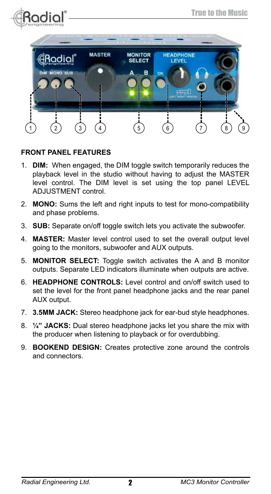



#### **Front Panel Features**

- 1. **DIM:** When engaged, the DIM toggle switch temporarily reduces the playback level in the studio without having to adjust the MASTER level control. The DIM level is set using the top panel LEVEL ADJUSTMENT control.
- 2. **MONO:** Sums the left and right inputs to test for mono-compatibility and phase problems.
- 3. **SUB:** Separate on/off toggle switch lets you activate the subwoofer.
- 4. **MASTER:** Master level control used to set the overall output level going to the monitors, subwoofer and AUX outputs.
- 5. **MONITOR SELECT:** Toggle switch activates the A and B monitor outputs. Separate LED indicators illuminate when outputs are active.
- 6. **HEADPHONE CONTROLS:** Level control and on/off switch used to set the level for the front panel headphone jacks and the rear panel AUX output.
- 7. **3.5MM JACK:** Stereo headphone jack for ear-bud style headphones.
- 8. **¼" JACKS:** Dual stereo headphone jacks let you share the mix with the producer when listening to playback or for overdubbing.
- 9. **BOOKEND DESIGN:** Creates protective zone around the controls and connectors.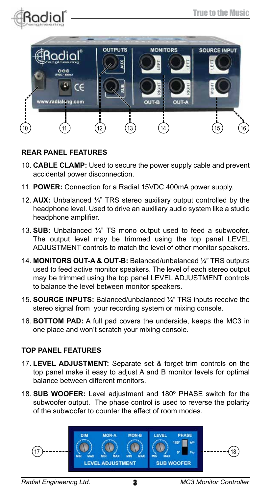



#### **REAR Panel Features**

- 10. **CABLE CLAMP:** Used to secure the power supply cable and prevent accidental power disconnection.
- 11. **POWER:** Connection for a Radial 15VDC 400mA power supply.
- 12. **AUX:** Unbalanced ¼" TRS stereo auxiliary output controlled by the headphone level. Used to drive an auxiliary audio system like a studio headphone amplifier.
- 13. **SUB:** Unbalanced ¼" TS mono output used to feed a subwoofer. The output level may be trimmed using the top panel LEVEL ADJUSTMENT controls to match the level of other monitor speakers.
- 14. **MONITORS OUT-A & OUT-B:** Balanced/unbalanced ¼" TRS outputs used to feed active monitor speakers. The level of each stereo output may be trimmed using the top panel LEVEL ADJUSTMENT controls to balance the level between monitor speakers.
- 15. **SOURCE INPUTS:** Balanced/unbalanced ¼" TRS inputs receive the stereo signal from your recording system or mixing console.
- 16. **BOTTOM PAD:** A full pad covers the underside, keeps the MC3 in one place and won't scratch your mixing console.

#### **Top Panel Features**

- 17. **LEVEL ADJUSTMENT:** Separate set & forget trim controls on the top panel make it easy to adjust A and B monitor levels for optimal balance between different monitors.
- 18. **SUB WOOFER:** Level adjustment and 180º PHASE switch for the subwoofer output. The phase control is used to reverse the polarity of the subwoofer to counter the effect of room modes.

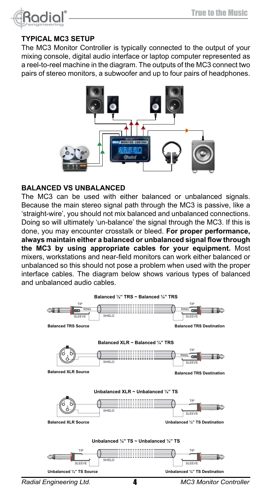

#### **Typical MC3 setup**

The MC3 Monitor Controller is typically connected to the output of your mixing console, digital audio interface or laptop computer represented as a reel-to-reel machine in the diagram. The outputs of the MC3 connect two pairs of stereo monitors, a subwoofer and up to four pairs of headphones.



#### **Balanced vs Unbalanced**

The MC3 can be used with either balanced or unbalanced signals. Because the main stereo signal path through the MC3 is passive, like a 'straight-wire', you should not mix balanced and unbalanced connections. Doing so will ultimately 'un-balance' the signal through the MC3. If this is done, you may encounter crosstalk or bleed. **For proper performance, always maintain either a balanced or unbalanced signal flow through the MC3 by using appropriate cables for your equipment.** Most mixers, workstations and near-field monitors can work either balanced or unbalanced so this should not pose a problem when used with the proper interface cables. The diagram below shows various types of balanced and unbalanced audio cables.



*Radial Engineering Ltd. MC3 Monitor Controller*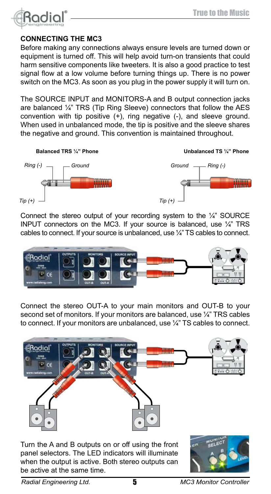

#### **Connecting the MC3**

Before making any connections always ensure levels are turned down or equipment is turned off. This will help avoid turn-on transients that could harm sensitive components like tweeters. It is also a good practice to test signal flow at a low volume before turning things up. There is no power switch on the MC3. As soon as you plug in the power supply it will turn on.

The SOURCE INPUT and MONITORS-A and B output connection jacks are balanced ¼" TRS (Tip Ring Sleeve) connectors that follow the AES convention with tip positive  $(+)$ , ring negative  $(-)$ , and sleeve ground. When used in unbalanced mode, the tip is positive and the sleeve shares the negative and ground. This convention is maintained throughout.



Connect the stereo output of your recording system to the  $\frac{1}{4}$ " SOURCE INPUT connectors on the MC3. If your source is balanced, use ¼" TRS cables to connect. If your source is unbalanced, use ¼" TS cables to connect.



Connect the stereo OUT-A to your main monitors and OUT-B to your second set of monitors. If your monitors are balanced, use 1/4" TRS cables to connect. If your monitors are unbalanced, use ¼" TS cables to connect.



Turn the A and B outputs on or off using the front panel selectors. The LED indicators will illuminate when the output is active. Both stereo outputs can be active at the same time.



*Radial Engineering Ltd.* 5 *MC3 Monitor Controller*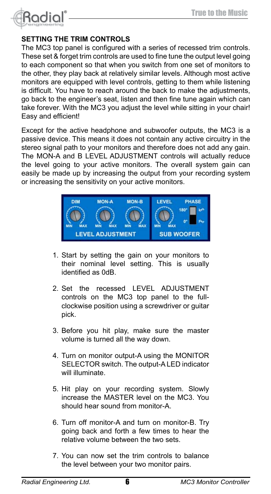

#### **Setting the trim controls**

The MC3 top panel is configured with a series of recessed trim controls. These set & forget trim controls are used to fine tune the output level going to each component so that when you switch from one set of monitors to the other, they play back at relatively similar levels. Although most active monitors are equipped with level controls, getting to them while listening is difficult. You have to reach around the back to make the adjustments, go back to the engineer's seat, listen and then fine tune again which can take forever. With the MC3 you adjust the level while sitting in your chair! Easy and efficient!

Except for the active headphone and subwoofer outputs, the MC3 is a passive device. This means it does not contain any active circuitry in the stereo signal path to your monitors and therefore does not add any gain. The MON-A and B LEVEL ADJUSTMENT controls will actually reduce the level going to your active monitors. The overall system gain can easily be made up by increasing the output from your recording system or increasing the sensitivity on your active monitors.



- 1. Start by setting the gain on your monitors to their nominal level setting. This is usually identified as 0dB.
- 2. Set the recessed LEVEL ADJUSTMENT controls on the MC3 top panel to the fullclockwise position using a screwdriver or guitar pick.
- 3. Before you hit play, make sure the master volume is turned all the way down.
- 4. Turn on monitor output-A using the MONITOR SELECTOR switch. The output-A LED indicator will illuminate.
- 5. Hit play on your recording system. Slowly increase the MASTER level on the MC3. You should hear sound from monitor-A.
- 6. Turn off monitor-A and turn on monitor-B. Try going back and forth a few times to hear the relative volume between the two sets.
- 7. You can now set the trim controls to balance the level between your two monitor pairs.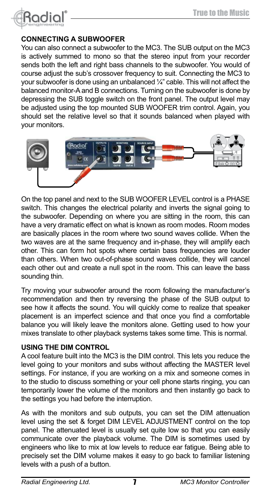

#### **Connecting a Subwoofer**

You can also connect a subwoofer to the MC3. The SUB output on the MC3 is actively summed to mono so that the stereo input from your recorder sends both the left and right bass channels to the subwoofer. You would of course adjust the sub's crossover frequency to suit. Connecting the MC3 to your subwoofer is done using an unbalanced ¼" cable. This will not affect the balanced monitor-A and B connections. Turning on the subwoofer is done by depressing the SUB toggle switch on the front panel. The output level may be adjusted using the top mounted SUB WOOFER trim control. Again, you should set the relative level so that it sounds balanced when played with your monitors.



On the top panel and next to the SUB WOOFER LEVEL control is a PHASE switch. This changes the electrical polarity and inverts the signal going to the subwoofer. Depending on where you are sitting in the room, this can have a very dramatic effect on what is known as room modes. Room modes are basically places in the room where two sound waves collide. When the two waves are at the same frequency and in-phase, they will amplify each other. This can form hot spots where certain bass frequencies are louder than others. When two out-of-phase sound waves collide, they will cancel each other out and create a null spot in the room. This can leave the bass sounding thin.

Try moving your subwoofer around the room following the manufacturer's recommendation and then try reversing the phase of the SUB output to see how it affects the sound. You will quickly come to realize that speaker placement is an imperfect science and that once you find a comfortable balance you will likely leave the monitors alone. Getting used to how your mixes translate to other playback systems takes some time. This is normal.

#### **Using the DIM control**

A cool feature built into the MC3 is the DIM control. This lets you reduce the level going to your monitors and subs without affecting the MASTER level settings. For instance, if you are working on a mix and someone comes in to the studio to discuss something or your cell phone starts ringing, you can temporarily lower the volume of the monitors and then instantly go back to the settings you had before the interruption.

As with the monitors and sub outputs, you can set the DIM attenuation level using the set & forget DIM LEVEL ADJUSTMENT control on the top panel. The attenuated level is usually set quite low so that you can easily communicate over the playback volume. The DIM is sometimes used by engineers who like to mix at low levels to reduce ear fatigue. Being able to precisely set the DIM volume makes it easy to go back to familiar listening levels with a push of a button.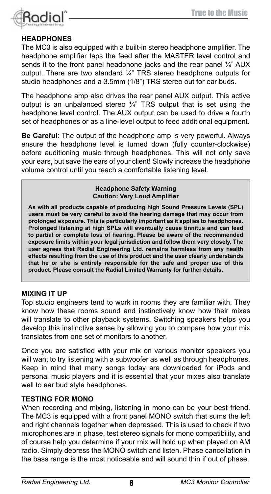

#### **Headphones**

The MC3 is also equipped with a built-in stereo headphone amplifier. The headphone amplifier taps the feed after the MASTER level control and sends it to the front panel headphone jacks and the rear panel 1/4" AUX output. There are two standard ¼" TRS stereo headphone outputs for studio headphones and a 3.5mm (1/8") TRS stereo out for ear buds.

The headphone amp also drives the rear panel AUX output. This active output is an unbalanced stereo  $\frac{1}{4}$ " TRS output that is set using the headphone level control. The AUX output can be used to drive a fourth set of headphones or as a line-level output to feed additional equipment.

**Be Careful**: The output of the headphone amp is very powerful. Always ensure the headphone level is turned down (fully counter-clockwise) before auditioning music through headphones. This will not only save your ears, but save the ears of your client! Slowly increase the headphone volume control until you reach a comfortable listening level.

> **Headphone Safety Warning Caution: Very Loud Amplifier**

**As with all products capable of producing high Sound Pressure Levels (SPL) users must be very careful to avoid the hearing damage that may occur from prolonged exposure. This is particularly important as it applies to headphones. Prolonged listening at high SPLs will eventually cause tinnitus and can lead to partial or complete loss of hearing. Please be aware of the recommended exposure limits within your legal jurisdiction and follow them very closely. The user agrees that Radial Engineering Ltd. remains harmless from any health effects resulting from the use of this product and the user clearly understands that he or she is entirely responsible for the safe and proper use of this product. Please consult the Radial Limited Warranty for further details.**

#### **Mixing it up**

Top studio engineers tend to work in rooms they are familiar with. They know how these rooms sound and instinctively know how their mixes will translate to other playback systems. Switching speakers helps you develop this instinctive sense by allowing you to compare how your mix translates from one set of monitors to another.

Once you are satisfied with your mix on various monitor speakers you will want to try listening with a subwoofer as well as through headphones. Keep in mind that many songs today are downloaded for iPods and personal music players and it is essential that your mixes also translate well to ear bud style headphones.

#### **Testing for MONO**

When recording and mixing, listening in mono can be your best friend. The MC3 is equipped with a front panel MONO switch that sums the left and right channels together when depressed. This is used to check if two microphones are in phase, test stereo signals for mono compatibility, and of course help you determine if your mix will hold up when played on AM radio. Simply depress the MONO switch and listen. Phase cancellation in the bass range is the most noticeable and will sound thin if out of phase.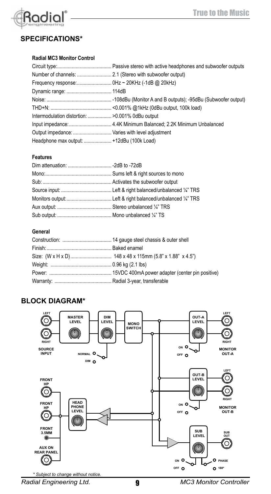

#### **Specifications\***

#### **Radial MC3 Monitor Control**

| Intermodulation distortion:  >0.001% 0dBu output |  |
|--------------------------------------------------|--|
|                                                  |  |
| Output impedance:  Varies with level adjustment  |  |
| Headphone max output:  +12dBu (100k Load)        |  |

#### **Features**

#### **General**

#### **Block Diagram\***